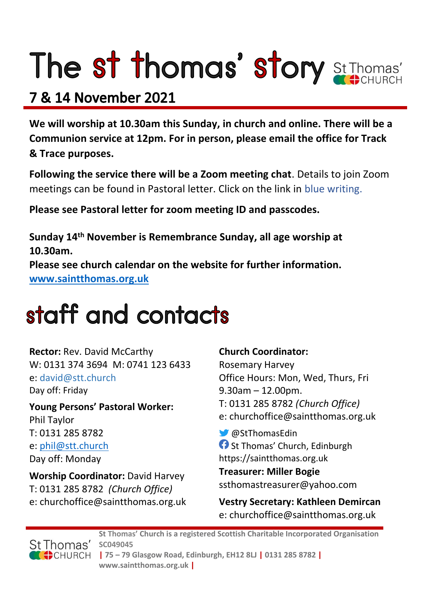# The st thomas' story St Thomas'

# **7 & 14 November 2021**

**We will worship at 10.30am this Sunday, in church and online. There will be a Communion service at 12pm. For in person, please email the office for Track & Trace purposes.**

**Following the service there will be a Zoom meeting chat**. Details to join Zoom meetings can be found in Pastoral letter. Click on the link in blue writing.

**Please see Pastoral letter for zoom meeting ID and passcodes.**

**Sunday 14th November is Remembrance Sunday, all age worship at 10.30am. Please see church calendar on the website for further information. [www.saintthomas.org.uk](http://www.saintthomas.org.uk/)**

# staff and contacts

**Rector:** Rev. David McCarthy W: 0131 374 3694 M: 0741 123 6433 e: david@stt.church Day off: Friday

**Young Persons' Pastoral Worker:** Phil Taylor T: 0131 285 8782 e: [phil@stt.church](mailto:phil@stt.church) Day off: Monday

**Worship Coordinator:** David Harvey T: 0131 285 8782 *(Church Office)* e: churchoffice@saintthomas.org.uk

# **Church Coordinator:**

Rosemary Harvey Office Hours: Mon, Wed, Thurs, Fri 9.30am – 12.00pm. T: 0131 285 8782 *(Church Office)* e: churchoffice@saintthomas.org.uk

@StThomasEdin **f** St Thomas' Church, Edinburgh https://saintthomas.org.uk

**Treasurer: Miller Bogie** ssthomastreasurer@yahoo.com

**Vestry Secretary: Kathleen Demircan**  e: churchoffice@saintthomas.org.uk



**St Thomas' Church is a registered Scottish Charitable Incorporated Organisation SC049045 | 75 – 79 Glasgow Road, Edinburgh, EH12 8LJ | 0131 285 8782 | www.saintthomas.org.uk |**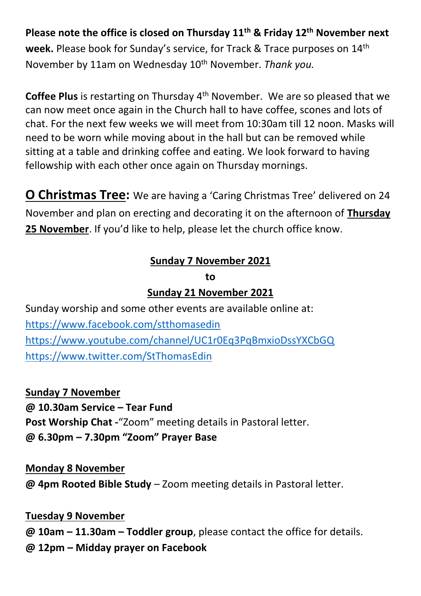**Please note the office is closed on Thursday 11th & Friday 12th November next week.** Please book for Sunday's service, for Track & Trace purposes on 14th November by 11am on Wednesday 10th November. *Thank you.*

**Coffee Plus** is restarting on Thursday 4<sup>th</sup> November. We are so pleased that we can now meet once again in the Church hall to have coffee, scones and lots of chat. For the next few weeks we will meet from 10:30am till 12 noon. Masks will need to be worn while moving about in the hall but can be removed while sitting at a table and drinking coffee and eating. We look forward to having fellowship with each other once again on Thursday mornings.

**O Christmas Tree:** We are having a 'Caring Christmas Tree' delivered on 24 November and plan on erecting and decorating it on the afternoon of **Thursday 25 November**. If you'd like to help, please let the church office know.

# **Sunday 7 November 2021**

#### **to**

# **Sunday 21 November 2021**

Sunday worship and some other events are available online at: <https://www.facebook.com/stthomasedin> <https://www.youtube.com/channel/UC1r0Eq3PqBmxioDssYXCbGQ> <https://www.twitter.com/StThomasEdin>

**Sunday 7 November @ 10.30am Service – Tear Fund Post Worship Chat -**"Zoom" meeting details in Pastoral letter. **@ 6.30pm – 7.30pm "Zoom" Prayer Base**

**Monday 8 November @ 4pm Rooted Bible Study** – Zoom meeting details in Pastoral letter.

# **Tuesday 9 November**

**@ 10am – 11.30am – Toddler group**, please contact the office for details. **@ 12pm – Midday prayer on Facebook**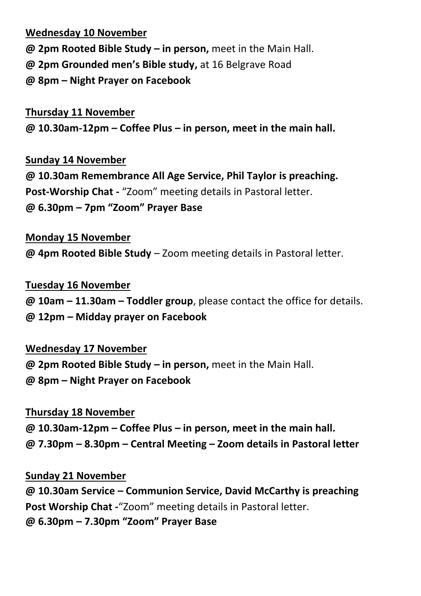#### **Wednesday 10 November**

- **@ 2pm Rooted Bible Study – in person,** meet in the Main Hall.
- **@ 2pm Grounded men's Bible study,** at 16 Belgrave Road
- **@ 8pm – Night Prayer on Facebook**

# **Thursday 11 November @ 10.30am-12pm – Coffee Plus – in person, meet in the main hall.**

# **Sunday 14 November @ 10.30am Remembrance All Age Service, Phil Taylor is preaching. Post-Worship Chat -** "Zoom" meeting details in Pastoral letter. **@ 6.30pm – 7pm "Zoom" Prayer Base**

# **Monday 15 November**

**@ 4pm Rooted Bible Study** – Zoom meeting details in Pastoral letter.

# **Tuesday 16 November**

**@ 10am – 11.30am – Toddler group**, please contact the office for details.

#### **@ 12pm – Midday prayer on Facebook**

# **Wednesday 17 November**

**@ 2pm Rooted Bible Study – in person,** meet in the Main Hall.

**@ 8pm – Night Prayer on Facebook** 

# **Thursday 18 November**

- **@ 10.30am-12pm – Coffee Plus – in person, meet in the main hall.**
- **@ 7.30pm – 8.30pm – Central Meeting – Zoom details in Pastoral letter**

# **Sunday 21 November**

**@ 10.30am Service – Communion Service, David McCarthy is preaching Post Worship Chat -**"Zoom" meeting details in Pastoral letter. **@ 6.30pm – 7.30pm "Zoom" Prayer Base**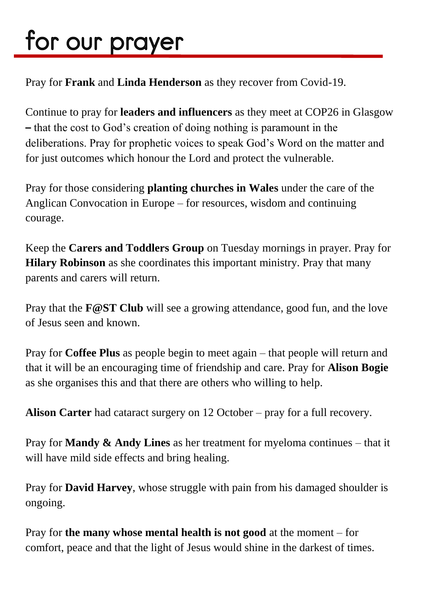# for our prayer

Pray for **Frank** and **Linda Henderson** as they recover from Covid-19.

Continue to pray for **leaders and influencers** as they meet at COP26 in Glasgow **–** that the cost to God's creation of doing nothing is paramount in the deliberations. Pray for prophetic voices to speak God's Word on the matter and for just outcomes which honour the Lord and protect the vulnerable.

Pray for those considering **planting churches in Wales** under the care of the Anglican Convocation in Europe – for resources, wisdom and continuing courage.

Keep the **Carers and Toddlers Group** on Tuesday mornings in prayer. Pray for **Hilary Robinson** as she coordinates this important ministry. Pray that many parents and carers will return.

Pray that the **F@ST Club** will see a growing attendance, good fun, and the love of Jesus seen and known.

Pray for **Coffee Plus** as people begin to meet again – that people will return and that it will be an encouraging time of friendship and care. Pray for **Alison Bogie** as she organises this and that there are others who willing to help.

**Alison Carter** had cataract surgery on 12 October – pray for a full recovery.

Pray for **Mandy & Andy Lines** as her treatment for myeloma continues – that it will have mild side effects and bring healing.

Pray for **David Harvey**, whose struggle with pain from his damaged shoulder is ongoing.

Pray for **the many whose mental health is not good** at the moment – for comfort, peace and that the light of Jesus would shine in the darkest of times.